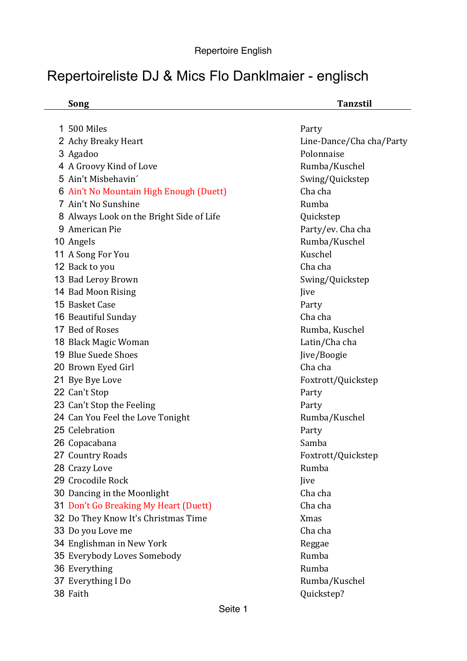## Repertoireliste DJ & Mics Flo Danklmaier - englisch

**Song Tanzstil**

| 500 Miles<br>1.                          | Party                    |
|------------------------------------------|--------------------------|
| 2 Achy Breaky Heart                      | Line-Dance/Cha cha/Party |
| 3 Agadoo                                 | Polonnaise               |
| 4 A Groovy Kind of Love                  | Rumba/Kuschel            |
| 5 Ain't Misbehavin'                      | Swing/Quickstep          |
| 6 Ain't No Mountain High Enough (Duett)  | Cha cha                  |
| 7 Ain't No Sunshine                      | Rumba                    |
| 8 Always Look on the Bright Side of Life | Quickstep                |
| 9 American Pie                           | Party/ev. Cha cha        |
| 10 Angels                                | Rumba/Kuschel            |
| 11 A Song For You                        | Kuschel                  |
| 12 Back to you                           | Cha cha                  |
| 13 Bad Leroy Brown                       | Swing/Quickstep          |
| 14 Bad Moon Rising                       | Jive                     |
| 15 Basket Case                           | Party                    |
| 16 Beautiful Sunday                      | Cha cha                  |
| 17 Bed of Roses                          | Rumba, Kuschel           |
| 18 Black Magic Woman                     | Latin/Cha cha            |
| 19 Blue Suede Shoes                      | Jive/Boogie              |
| 20 Brown Eyed Girl                       | Cha cha                  |
| 21 Bye Bye Love                          | Foxtrott/Quickstep       |
| 22 Can't Stop                            | Party                    |
| 23 Can't Stop the Feeling                | Party                    |
| 24 Can You Feel the Love Tonight         | Rumba/Kuschel            |
| 25 Celebration                           | Party                    |
| 26 Copacabana                            | Samba                    |
| 27 Country Roads                         | Foxtrott/Quickstep       |
| 28 Crazy Love                            | Rumba                    |
| 29 Crocodile Rock                        | Jive                     |
| 30 Dancing in the Moonlight              | Cha cha                  |
| 31 Don't Go Breaking My Heart (Duett)    | Cha cha                  |
| 32 Do They Know It's Christmas Time      | <b>Xmas</b>              |
| 33 Do you Love me                        | Cha cha                  |
| 34 Englishman in New York                | Reggae                   |
| 35 Everybody Loves Somebody              | Rumba                    |
| 36 Everything                            | Rumba                    |
| 37 Everything I Do                       | Rumba/Kuschel            |
| 38 Faith                                 | Quickstep?               |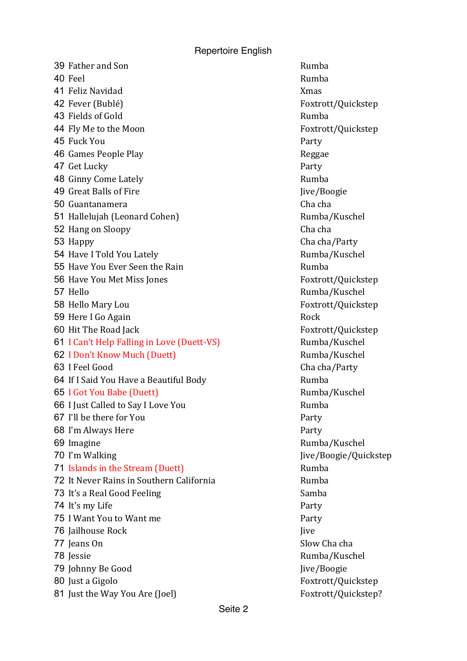Repertoire English

39 Father and Son Rumba 40 Feel Rumba **41 Feliz Navidad** Xmas 42 Fever (Bublé) Foxtrott/Quickstep 43 Fields of Gold Rumba 44 Fly Me to the Moon Foxtrott/Quickstep 45 Fuck You **Party 46 Games People Play and Algebraic Contract Contract Reggae** 47 Get Lucky Party 48 Ginny Come Lately **Rumba** Rumba 49 Great Balls of Fire July 19 Great Balls of Fire July 1996 50 Guantanamera **Cha**cha Cha cha 51 Hallelujah (Leonard Cohen) Rumba/Kuschel 52 Hang on Sloopy **Changes** Characha Characha Characha Characha Characha Characha Characha Characha Characha Cha 53 Happy Cha cha/Party 54 Have I Told You Lately **Example 20** Rumba/Kuschel 55 Have You Ever Seen the Rain **Section Contract Contract Rumba** 56 Have You Met Miss Jones Foxtrott/Quickstep 57 Hello Rumba/Kuschel 58 Hello Mary Lou **Foxtrott/Quickstep** 59 Here I Go Again Rock and the Rock Rock 60 Hit The Road Jack **Foxtrott**/Quickstep 61 I Can't Help Falling in Love (Duett-VS) Rumba/Kuschel 62 I Don't Know Much (Duett) Rumba/Kuschel 63 I Feel Good Charles Charles Charles Charles Charles Charles Charles Charles Charles Charles Charles Charles Charles Charles Charles Charles Charles Charles Charles Charles Charles Charles Charles Charles Charles Charles 64 If I Said You Have a Beautiful Body **Rumba** 65 I Got You Babe (Duett) Rumba/Kuschel 66 I Just Called to Say I Love You **Example 2018** Rumba 67 I'll be there for You **Party** 68 I'm Always Here **Party** 69 Imagine Rumba/Kuschel 70 I'm Walking The Marking Communication of the Jive/Boogie/Quickstep 71 Islands in the Stream (Duett) **Rumba** Rumba **72** It Never Rains in Southern California **Rumba** 73 It's a Real Good Feeling Samba 74 It's my Life Party **75 I** Want You to Want me **76 Jailhouse Rock** John Communist Communist Communist Communist Communist Communist Communist Communist Communist Communist Communist Communist Communist Communist Communist Communist Communist Communist Communist Communi **77** Jeans On Slow Cha cha 78 Jessie Rumba/Kuschel 79 Johnny Be Good Jive/Boogie 80 Just a Gigolo **Foxtrott**/Quickstep 81 Just the Way You Are (Joel) Foxtrott/Quickstep?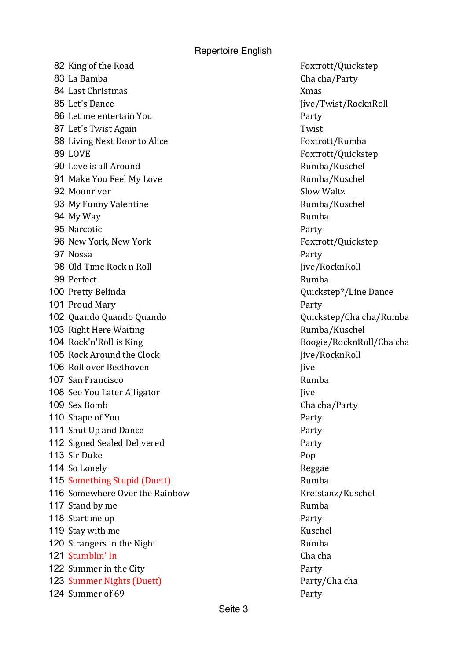Repertoire English

82 King of the Road Foxtrott/Quickstep 83 La Bamba **Cha** Cha cha/Party 84 Last Christmas Xmas 85 Let's Dance Jive/Twist/RocknRoll 86 Let me entertain You **Party** 87 Let's Twist Again Twist 88 Living Next Door to Alice Foxtrott/Rumba 89 LOVE Foxtrott/Quickstep 90 Love is all Around **Exercise 20 September 20 August** 20 August 20 August 20 August 20 August 20 August 20 August 20 August 20 August 20 August 20 August 20 August 20 August 20 August 20 August 20 August 20 August 20 Aug 91 Make You Feel My Love **Rumba**/Kuschel 92 Moonriver **Slow Waltz** Slow Waltz 93 My Funny Valentine **Rumba**/Kuschel 94 My Way **Rumba** 95 Narcotic **Party** 96 New York, New York Foxtrott/Quickstep 97 Nossa Party 98 Old Time Rock n Roll Jive/RocknRoll Jive/RocknRoll 99 Perfect Rumba 100 Pretty Belinda **Contract Contract Contract Contract Contract Contract Contract Contract Contract Contract Contract Contract Contract Contract Contract Contract Contract Contract Contract Contract Contract Contract Cont** 101 Proud Mary **Party** 102 Quando Quando Quando Quickstep/Cha cha/Rumba 103 Right Here Waiting **Rumba**/Kuschel 104 Rock'n'Roll is King and the state of the Boogie/RocknRoll/Cha cha 105 Rock Around the Clock Jive/RocknRoll 106 Roll over Beethoven **International Contract Contract Contract Contract Contract Contract Contract Contract Contract Contract Contract Contract Contract Contract Contract Contract Contract Contract Contract Contract Con** 107 San Francisco **Rumba** Rumba 108 See You Later Alligator **Julie 108 See You Later Alligator** Julie 2014 109 Sex Bomb **Cha** cha/Party 110 Shape of You **Party** 111 Shut Up and Dance Party 112 Signed Sealed Delivered **Party** Party 113 Sir Duke Pop 114 So Lonely Reggae **115 Something Stupid (Duett)** Rumba 116 Somewhere Over the Rainbow Kreistanz/Kuschel 117 Stand by me 118 Start me up **Party** 119 Stay with me 120 Strangers in the Night Rumba 121 Stumblin' In Charles Charles Charles Charles Charles Charles Charles Charles Charles Charles Charles Charles Charles Charles Charles Charles Charles Charles Charles Charles Charles Charles Charles Charles Charles Charl 122 Summer in the City **Party** Party 123 Summer Nights (Duett) Party/Cha cha 124 Summer of 69 Party